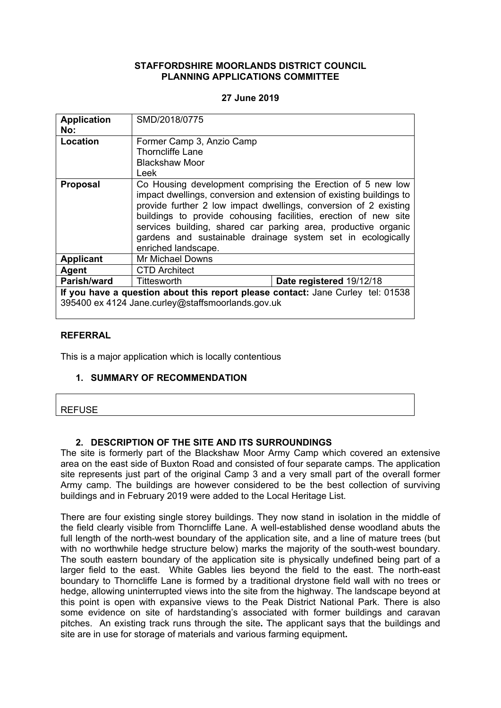## **STAFFORDSHIRE MOORLANDS DISTRICT COUNCIL PLANNING APPLICATIONS COMMITTEE**

## **27 June 2019**

| <b>Application</b><br>No:                                                                                                            | SMD/2018/0775                                                                                                                                                                                                                                                                                                                                                                                                                     |                          |
|--------------------------------------------------------------------------------------------------------------------------------------|-----------------------------------------------------------------------------------------------------------------------------------------------------------------------------------------------------------------------------------------------------------------------------------------------------------------------------------------------------------------------------------------------------------------------------------|--------------------------|
| Location                                                                                                                             | Former Camp 3, Anzio Camp                                                                                                                                                                                                                                                                                                                                                                                                         |                          |
|                                                                                                                                      | <b>Thorncliffe Lane</b>                                                                                                                                                                                                                                                                                                                                                                                                           |                          |
|                                                                                                                                      | <b>Blackshaw Moor</b>                                                                                                                                                                                                                                                                                                                                                                                                             |                          |
|                                                                                                                                      | Leek                                                                                                                                                                                                                                                                                                                                                                                                                              |                          |
| <b>Proposal</b>                                                                                                                      | Co Housing development comprising the Erection of 5 new low<br>impact dwellings, conversion and extension of existing buildings to<br>provide further 2 low impact dwellings, conversion of 2 existing<br>buildings to provide cohousing facilities, erection of new site<br>services building, shared car parking area, productive organic<br>gardens and sustainable drainage system set in ecologically<br>enriched landscape. |                          |
| <b>Applicant</b>                                                                                                                     | Mr Michael Downs                                                                                                                                                                                                                                                                                                                                                                                                                  |                          |
| Agent                                                                                                                                | <b>CTD Architect</b>                                                                                                                                                                                                                                                                                                                                                                                                              |                          |
| Parish/ward                                                                                                                          | Tittesworth                                                                                                                                                                                                                                                                                                                                                                                                                       | Date registered 19/12/18 |
| If you have a question about this report please contact: Jane Curley tel: 01538<br>395400 ex 4124 Jane.curley@staffsmoorlands.gov.uk |                                                                                                                                                                                                                                                                                                                                                                                                                                   |                          |

### **REFERRAL**

This is a major application which is locally contentious

## **1. SUMMARY OF RECOMMENDATION**

## **2. DESCRIPTION OF THE SITE AND ITS SURROUNDINGS**

The site is formerly part of the Blackshaw Moor Army Camp which covered an extensive area on the east side of Buxton Road and consisted of four separate camps. The application site represents just part of the original Camp 3 and a very small part of the overall former Army camp. The buildings are however considered to be the best collection of surviving buildings and in February 2019 were added to the Local Heritage List.

There are four existing single storey buildings. They now stand in isolation in the middle of the field clearly visible from Thorncliffe Lane. A well-established dense woodland abuts the full length of the north-west boundary of the application site, and a line of mature trees (but with no worthwhile hedge structure below) marks the majority of the south-west boundary. The south eastern boundary of the application site is physically undefined being part of a larger field to the east. White Gables lies beyond the field to the east. The north-east boundary to Thorncliffe Lane is formed by a traditional drystone field wall with no trees or hedge, allowing uninterrupted views into the site from the highway. The landscape beyond at this point is open with expansive views to the Peak District National Park. There is also some evidence on site of hardstanding's associated with former buildings and caravan pitches. An existing track runs through the site**.** The applicant says that the buildings and site are in use for storage of materials and various farming equipment**.**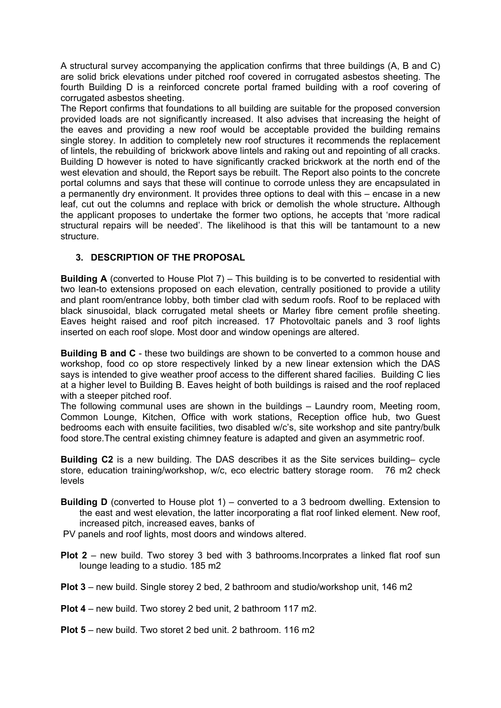A structural survey accompanying the application confirms that three buildings (A, B and C) are solid brick elevations under pitched roof covered in corrugated asbestos sheeting. The fourth Building D is a reinforced concrete portal framed building with a roof covering of corrugated asbestos sheeting.

The Report confirms that foundations to all building are suitable for the proposed conversion provided loads are not significantly increased. It also advises that increasing the height of the eaves and providing a new roof would be acceptable provided the building remains single storey. In addition to completely new roof structures it recommends the replacement of lintels, the rebuilding of brickwork above lintels and raking out and repointing of all cracks. Building D however is noted to have significantly cracked brickwork at the north end of the west elevation and should, the Report says be rebuilt. The Report also points to the concrete portal columns and says that these will continue to corrode unless they are encapsulated in a permanently dry environment. It provides three options to deal with this – encase in a new leaf, cut out the columns and replace with brick or demolish the whole structure**.** Although the applicant proposes to undertake the former two options, he accepts that 'more radical structural repairs will be needed'. The likelihood is that this will be tantamount to a new structure.

# **3. DESCRIPTION OF THE PROPOSAL**

**Building A** (converted to House Plot 7) – This building is to be converted to residential with two lean-to extensions proposed on each elevation, centrally positioned to provide a utility and plant room/entrance lobby, both timber clad with sedum roofs. Roof to be replaced with black sinusoidal, black corrugated metal sheets or Marley fibre cement profile sheeting. Eaves height raised and roof pitch increased. 17 Photovoltaic panels and 3 roof lights inserted on each roof slope. Most door and window openings are altered.

**Building B and C** - these two buildings are shown to be converted to a common house and workshop, food co op store respectively linked by a new linear extension which the DAS says is intended to give weather proof access to the different shared facilies. Building C lies at a higher level to Building B. Eaves height of both buildings is raised and the roof replaced with a steeper pitched roof.

The following communal uses are shown in the buildings – Laundry room, Meeting room, Common Lounge, Kitchen, Office with work stations, Reception office hub, two Guest bedrooms each with ensuite facilities, two disabled w/c's, site workshop and site pantry/bulk food store.The central existing chimney feature is adapted and given an asymmetric roof.

**Building C2** is a new building. The DAS describes it as the Site services building– cycle store, education training/workshop, w/c, eco electric battery storage room. 76 m2 check levels

- **Building D** (converted to House plot 1) converted to a 3 bedroom dwelling. Extension to the east and west elevation, the latter incorporating a flat roof linked element. New roof, increased pitch, increased eaves, banks of
- PV panels and roof lights, most doors and windows altered.
- **Plot 2** new build. Two storey 3 bed with 3 bathrooms.Incorprates a linked flat roof sun lounge leading to a studio. 185 m2
- **Plot 3** new build. Single storey 2 bed, 2 bathroom and studio/workshop unit, 146 m2
- **Plot 4** new build. Two storey 2 bed unit, 2 bathroom 117 m2.
- **Plot 5** new build. Two storet 2 bed unit. 2 bathroom. 116 m2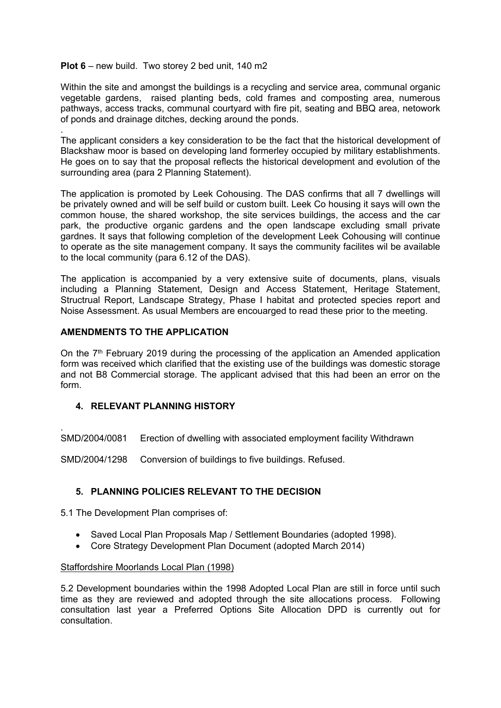### **Plot 6** – new build. Two storey 2 bed unit, 140 m2

.

.

Within the site and amongst the buildings is a recycling and service area, communal organic vegetable gardens, raised planting beds, cold frames and composting area, numerous pathways, access tracks, communal courtyard with fire pit, seating and BBQ area, netowork of ponds and drainage ditches, decking around the ponds.

The applicant considers a key consideration to be the fact that the historical development of Blackshaw moor is based on developing land formerley occupied by military establishments. He goes on to say that the proposal reflects the historical development and evolution of the surrounding area (para 2 Planning Statement).

The application is promoted by Leek Cohousing. The DAS confirms that all 7 dwellings will be privately owned and will be self build or custom built. Leek Co housing it says will own the common house, the shared workshop, the site services buildings, the access and the car park, the productive organic gardens and the open landscape excluding small private gardnes. It says that following completion of the development Leek Cohousing will continue to operate as the site management company. It says the community facilites wil be available to the local community (para 6.12 of the DAS).

The application is accompanied by a very extensive suite of documents, plans, visuals including a Planning Statement, Design and Access Statement, Heritage Statement, Structrual Report, Landscape Strategy, Phase I habitat and protected species report and Noise Assessment. As usual Members are encouarged to read these prior to the meeting.

## **AMENDMENTS TO THE APPLICATION**

On the 7<sup>th</sup> February 2019 during the processing of the application an Amended application form was received which clarified that the existing use of the buildings was domestic storage and not B8 Commercial storage. The applicant advised that this had been an error on the form.

## **4. RELEVANT PLANNING HISTORY**

SMD/2004/0081 Erection of dwelling with associated employment facility Withdrawn

SMD/2004/1298 Conversion of buildings to five buildings. Refused.

## **5. PLANNING POLICIES RELEVANT TO THE DECISION**

5.1 The Development Plan comprises of:

- Saved Local Plan Proposals Map / Settlement Boundaries (adopted 1998).
- Core Strategy Development Plan Document (adopted March 2014)

### Staffordshire Moorlands Local Plan (1998)

5.2 Development boundaries within the 1998 Adopted Local Plan are still in force until such time as they are reviewed and adopted through the site allocations process. Following consultation last year a Preferred Options Site Allocation DPD is currently out for consultation.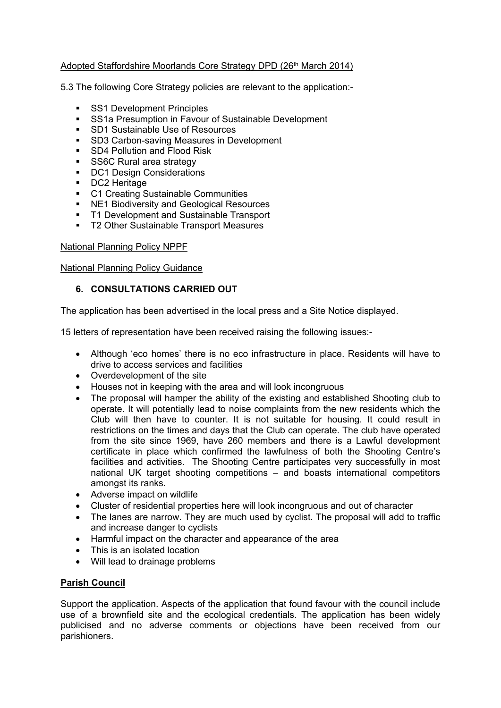# Adopted Staffordshire Moorlands Core Strategy DPD (26<sup>th</sup> March 2014)

5.3 The following Core Strategy policies are relevant to the application:-

- **SS1 Development Principles**
- **SS1a Presumption in Favour of Sustainable Development**
- SD1 Sustainable Use of Resources
- **SD3 Carbon-saving Measures in Development**
- SD4 Pollution and Flood Risk
- **SS6C Rural area strategy**
- **DC1 Design Considerations**
- **DC2** Heritage
- **C1 Creating Sustainable Communities**
- **NE1 Biodiversity and Geological Resources**
- **T1 Development and Sustainable Transport**
- **T2 Other Sustainable Transport Measures**

### National Planning Policy NPPF

National Planning Policy Guidance

## **6. CONSULTATIONS CARRIED OUT**

The application has been advertised in the local press and a Site Notice displayed.

15 letters of representation have been received raising the following issues:-

- Although 'eco homes' there is no eco infrastructure in place. Residents will have to drive to access services and facilities
- Overdevelopment of the site
- Houses not in keeping with the area and will look incongruous
- The proposal will hamper the ability of the existing and established Shooting club to operate. It will potentially lead to noise complaints from the new residents which the Club will then have to counter. It is not suitable for housing. It could result in restrictions on the times and days that the Club can operate. The club have operated from the site since 1969, have 260 members and there is a Lawful development certificate in place which confirmed the lawfulness of both the Shooting Centre's facilities and activities. The Shooting Centre participates very successfully in most national UK target shooting competitions – and boasts international competitors amongst its ranks.
- Adverse impact on wildlife
- Cluster of residential properties here will look incongruous and out of character
- The lanes are narrow. They are much used by cyclist. The proposal will add to traffic and increase danger to cyclists
- Harmful impact on the character and appearance of the area
- This is an isolated location
- Will lead to drainage problems

## **Parish Council**

Support the application. Aspects of the application that found favour with the council include use of a brownfield site and the ecological credentials. The application has been widely publicised and no adverse comments or objections have been received from our parishioners.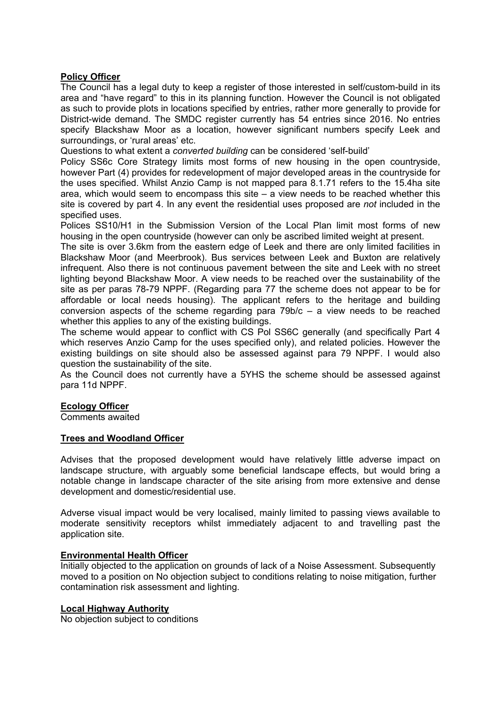## **Policy Officer**

The Council has a legal duty to keep a register of those interested in self/custom-build in its area and "have regard" to this in its planning function. However the Council is not obligated as such to provide plots in locations specified by entries, rather more generally to provide for District-wide demand. The SMDC register currently has 54 entries since 2016. No entries specify Blackshaw Moor as a location, however significant numbers specify Leek and surroundings, or 'rural areas' etc.

Questions to what extent a *converted building* can be considered 'self-build'

Policy SS6c Core Strategy limits most forms of new housing in the open countryside, however Part (4) provides for redevelopment of major developed areas in the countryside for the uses specified. Whilst Anzio Camp is not mapped para 8.1.71 refers to the 15.4ha site area, which would seem to encompass this site  $-$  a view needs to be reached whether this site is covered by part 4. In any event the residential uses proposed are *not* included in the specified uses.

Polices SS10/H1 in the Submission Version of the Local Plan limit most forms of new housing in the open countryside (however can only be ascribed limited weight at present.

The site is over 3.6km from the eastern edge of Leek and there are only limited facilities in Blackshaw Moor (and Meerbrook). Bus services between Leek and Buxton are relatively infrequent. Also there is not continuous pavement between the site and Leek with no street lighting beyond Blackshaw Moor. A view needs to be reached over the sustainability of the site as per paras 78-79 NPPF. (Regarding para 77 the scheme does not appear to be for affordable or local needs housing). The applicant refers to the heritage and building conversion aspects of the scheme regarding para 79b/c – a view needs to be reached whether this applies to any of the existing buildings.

The scheme would appear to conflict with CS Pol SS6C generally (and specifically Part 4 which reserves Anzio Camp for the uses specified only), and related policies. However the existing buildings on site should also be assessed against para 79 NPPF. I would also question the sustainability of the site.

As the Council does not currently have a 5YHS the scheme should be assessed against para 11d NPPF.

### **Ecology Officer**

Comments awaited

## **Trees and Woodland Officer**

Advises that the proposed development would have relatively little adverse impact on landscape structure, with arguably some beneficial landscape effects, but would bring a notable change in landscape character of the site arising from more extensive and dense development and domestic/residential use.

Adverse visual impact would be very localised, mainly limited to passing views available to moderate sensitivity receptors whilst immediately adjacent to and travelling past the application site.

### **Environmental Health Officer**

Initially objected to the application on grounds of lack of a Noise Assessment. Subsequently moved to a position on No objection subject to conditions relating to noise mitigation, further contamination risk assessment and lighting.

### **Local Highway Authority**

No objection subject to conditions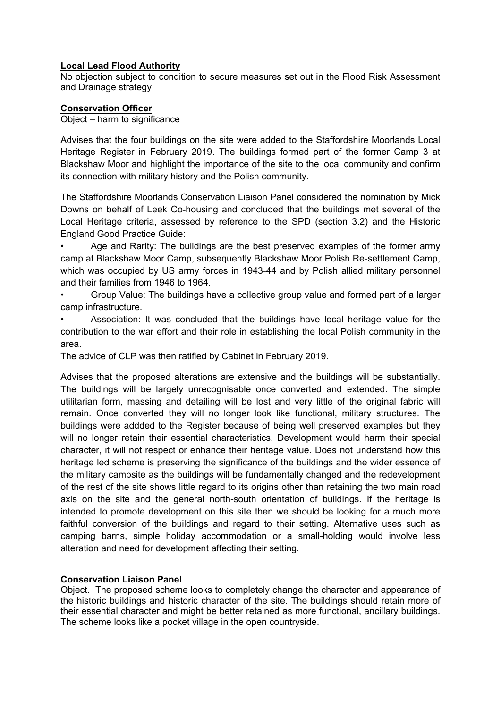## **Local Lead Flood Authority**

No objection subject to condition to secure measures set out in the Flood Risk Assessment and Drainage strategy

# **Conservation Officer**

Object – harm to significance

Advises that the four buildings on the site were added to the Staffordshire Moorlands Local Heritage Register in February 2019. The buildings formed part of the former Camp 3 at Blackshaw Moor and highlight the importance of the site to the local community and confirm its connection with military history and the Polish community.

The Staffordshire Moorlands Conservation Liaison Panel considered the nomination by Mick Downs on behalf of Leek Co-housing and concluded that the buildings met several of the Local Heritage criteria, assessed by reference to the SPD (section 3.2) and the Historic England Good Practice Guide:

• Age and Rarity: The buildings are the best preserved examples of the former army camp at Blackshaw Moor Camp, subsequently Blackshaw Moor Polish Re-settlement Camp, which was occupied by US army forces in 1943-44 and by Polish allied military personnel and their families from 1946 to 1964.

• Group Value: The buildings have a collective group value and formed part of a larger camp infrastructure.

• Association: It was concluded that the buildings have local heritage value for the contribution to the war effort and their role in establishing the local Polish community in the area.

The advice of CLP was then ratified by Cabinet in February 2019.

Advises that the proposed alterations are extensive and the buildings will be substantially. The buildings will be largely unrecognisable once converted and extended. The simple utilitarian form, massing and detailing will be lost and very little of the original fabric will remain. Once converted they will no longer look like functional, military structures. The buildings were addded to the Register because of being well preserved examples but they will no longer retain their essential characteristics. Development would harm their special character, it will not respect or enhance their heritage value. Does not understand how this heritage led scheme is preserving the significance of the buildings and the wider essence of the military campsite as the buildings will be fundamentally changed and the redevelopment of the rest of the site shows little regard to its origins other than retaining the two main road axis on the site and the general north-south orientation of buildings. If the heritage is intended to promote development on this site then we should be looking for a much more faithful conversion of the buildings and regard to their setting. Alternative uses such as camping barns, simple holiday accommodation or a small-holding would involve less alteration and need for development affecting their setting.

# **Conservation Liaison Panel**

Object. The proposed scheme looks to completely change the character and appearance of the historic buildings and historic character of the site. The buildings should retain more of their essential character and might be better retained as more functional, ancillary buildings. The scheme looks like a pocket village in the open countryside.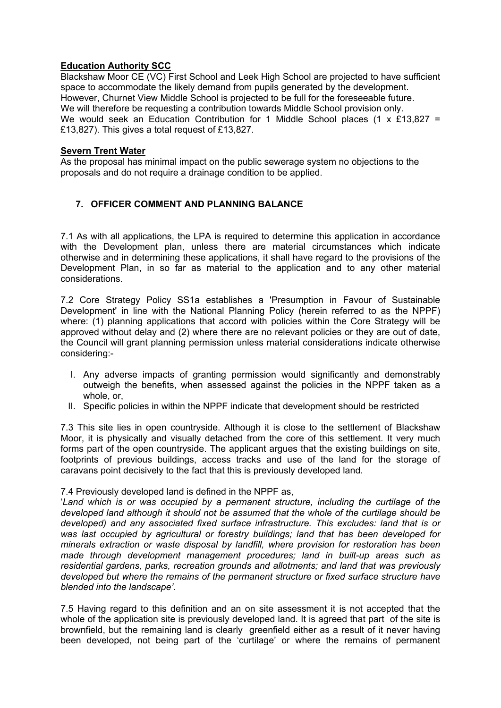# **Education Authority SCC**

Blackshaw Moor CE (VC) First School and Leek High School are projected to have sufficient space to accommodate the likely demand from pupils generated by the development. However, Churnet View Middle School is projected to be full for the foreseeable future. We will therefore be requesting a contribution towards Middle School provision only. We would seek an Education Contribution for 1 Middle School places (1 x £13,827 = £13,827). This gives a total request of £13,827.

## **Severn Trent Water**

As the proposal has minimal impact on the public sewerage system no objections to the proposals and do not require a drainage condition to be applied.

# **7. OFFICER COMMENT AND PLANNING BALANCE**

7.1 As with all applications, the LPA is required to determine this application in accordance with the Development plan, unless there are material circumstances which indicate otherwise and in determining these applications, it shall have regard to the provisions of the Development Plan, in so far as material to the application and to any other material considerations.

7.2 Core Strategy Policy SS1a establishes a 'Presumption in Favour of Sustainable Development' in line with the National Planning Policy (herein referred to as the NPPF) where: (1) planning applications that accord with policies within the Core Strategy will be approved without delay and (2) where there are no relevant policies or they are out of date, the Council will grant planning permission unless material considerations indicate otherwise considering:-

- I. Any adverse impacts of granting permission would significantly and demonstrably outweigh the benefits, when assessed against the policies in the NPPF taken as a whole, or,
- II. Specific policies in within the NPPF indicate that development should be restricted

7.3 This site lies in open countryside. Although it is close to the settlement of Blackshaw Moor, it is physically and visually detached from the core of this settlement. It very much forms part of the open countryside. The applicant argues that the existing buildings on site, footprints of previous buildings, access tracks and use of the land for the storage of caravans point decisively to the fact that this is previously developed land.

7.4 Previously developed land is defined in the NPPF as,

'*Land which is or was occupied by a permanent structure, including the curtilage of the developed land although it should not be assumed that the whole of the curtilage should be developed) and any associated fixed surface infrastructure. This excludes: land that is or was last occupied by agricultural or forestry buildings; land that has been developed for minerals extraction or waste disposal by landfill, where provision for restoration has been made through development management procedures; land in built-up areas such as residential gardens, parks, recreation grounds and allotments; and land that was previously developed but where the remains of the permanent structure or fixed surface structure have blended into the landscape'.*

7.5 Having regard to this definition and an on site assessment it is not accepted that the whole of the application site is previously developed land. It is agreed that part of the site is brownfield, but the remaining land is clearly greenfield either as a result of it never having been developed, not being part of the 'curtilage' or where the remains of permanent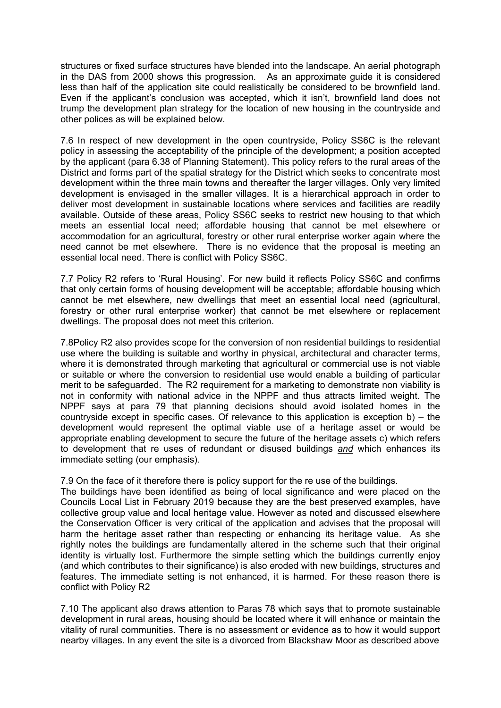structures or fixed surface structures have blended into the landscape. An aerial photograph in the DAS from 2000 shows this progression. As an approximate guide it is considered less than half of the application site could realistically be considered to be brownfield land. Even if the applicant's conclusion was accepted, which it isn't, brownfield land does not trump the development plan strategy for the location of new housing in the countryside and other polices as will be explained below.

7.6 In respect of new development in the open countryside, Policy SS6C is the relevant policy in assessing the acceptability of the principle of the development; a position accepted by the applicant (para 6.38 of Planning Statement). This policy refers to the rural areas of the District and forms part of the spatial strategy for the District which seeks to concentrate most development within the three main towns and thereafter the larger villages. Only very limited development is envisaged in the smaller villages. It is a hierarchical approach in order to deliver most development in sustainable locations where services and facilities are readily available. Outside of these areas, Policy SS6C seeks to restrict new housing to that which meets an essential local need; affordable housing that cannot be met elsewhere or accommodation for an agricultural, forestry or other rural enterprise worker again where the need cannot be met elsewhere. There is no evidence that the proposal is meeting an essential local need. There is conflict with Policy SS6C.

7.7 Policy R2 refers to 'Rural Housing'. For new build it reflects Policy SS6C and confirms that only certain forms of housing development will be acceptable; affordable housing which cannot be met elsewhere, new dwellings that meet an essential local need (agricultural, forestry or other rural enterprise worker) that cannot be met elsewhere or replacement dwellings. The proposal does not meet this criterion.

7.8Policy R2 also provides scope for the conversion of non residential buildings to residential use where the building is suitable and worthy in physical, architectural and character terms, where it is demonstrated through marketing that agricultural or commercial use is not viable or suitable or where the conversion to residential use would enable a building of particular merit to be safeguarded. The R2 requirement for a marketing to demonstrate non viability is not in conformity with national advice in the NPPF and thus attracts limited weight. The NPPF says at para 79 that planning decisions should avoid isolated homes in the countryside except in specific cases. Of relevance to this application is exception b) – the development would represent the optimal viable use of a heritage asset or would be appropriate enabling development to secure the future of the heritage assets c) which refers to development that re uses of redundant or disused buildings *and* which enhances its immediate setting (our emphasis).

7.9 On the face of it therefore there is policy support for the re use of the buildings.

The buildings have been identified as being of local significance and were placed on the Councils Local List in February 2019 because they are the best preserved examples, have collective group value and local heritage value. However as noted and discussed elsewhere the Conservation Officer is very critical of the application and advises that the proposal will harm the heritage asset rather than respecting or enhancing its heritage value. As she rightly notes the buildings are fundamentally altered in the scheme such that their original identity is virtually lost. Furthermore the simple setting which the buildings currently enjoy (and which contributes to their significance) is also eroded with new buildings, structures and features. The immediate setting is not enhanced, it is harmed. For these reason there is conflict with Policy R2

7.10 The applicant also draws attention to Paras 78 which says that to promote sustainable development in rural areas, housing should be located where it will enhance or maintain the vitality of rural communities. There is no assessment or evidence as to how it would support nearby villages. In any event the site is a divorced from Blackshaw Moor as described above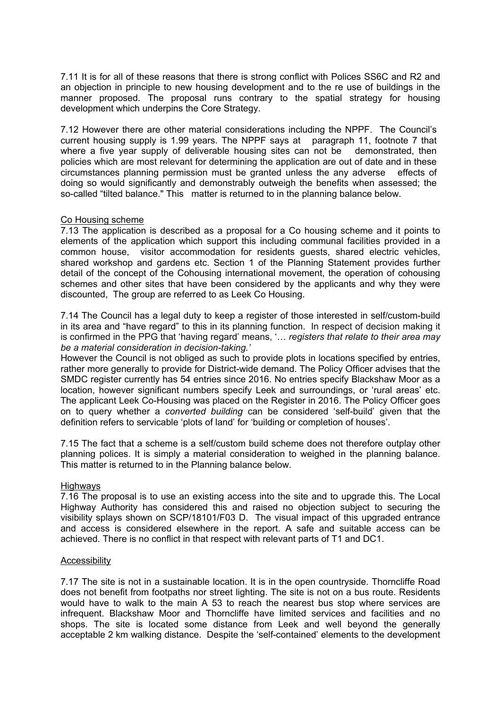7.11 It is for all of these reasons that there is strong conflict with Polices SS6C and R2 and an objection in principle to new housing development and to the re use of buildings in the manner proposed. The proposal runs contrary to the spatial strategy for housing development which underpins the Core Strategy.

7.12 However there are other material considerations including the NPPF. The Council's current housing supply is 1.99 years. The NPPF says at paragraph 11, footnote 7 that where a five year supply of deliverable housing sites can not be demonstrated, then policies which are most relevant for determining the application are out of date and in these circumstances planning permission must be granted unless the any adverse effects of doing so would significantly and demonstrably outweigh the benefits when assessed; the so-called "tilted balance." This matter is returned to in the planning balance below.

## Co Housing scheme

7.13 The application is described as a proposal for a Co housing scheme and it points to elements of the application which support this including communal facilities provided in a common house, visitor accommodation for residents guests, shared electric vehicles, shared workshop and gardens etc. Section 1 of the Planning Statement provides further detail of the concept of the Cohousing international movement, the operation of cohousing schemes and other sites that have been considered by the applicants and why they were discounted, The group are referred to as Leek Co Housing.

7.14 The Council has a legal duty to keep a register of those interested in self/custom-build in its area and "have regard" to this in its planning function. In respect of decision making it is confirmed in the PPG that 'having regard' means, '… *registers that relate to their area may be a material consideration in decision-taking.'*

However the Council is not obliged as such to provide plots in locations specified by entries, rather more generally to provide for District-wide demand. The Policy Officer advises that the SMDC register currently has 54 entries since 2016. No entries specify Blackshaw Moor as a location, however significant numbers specify Leek and surroundings, or 'rural areas' etc. The applicant Leek Co-Housing was placed on the Register in 2016. The Policy Officer goes on to query whether a *converted building* can be considered 'self-build' given that the definition refers to servicable 'plots of land' for 'building or completion of houses'.

7.15 The fact that a scheme is a self/custom build scheme does not therefore outplay other planning polices. It is simply a material consideration to weighed in the planning balance. This matter is returned to in the Planning balance below.

## **Highways**

7.16 The proposal is to use an existing access into the site and to upgrade this. The Local Highway Authority has considered this and raised no objection subject to securing the visibility splays shown on SCP/18101/F03 D. The visual impact of this upgraded entrance and access is considered elsewhere in the report. A safe and suitable access can be achieved. There is no conflict in that respect with relevant parts of T1 and DC1.

### Accessibility

7.17 The site is not in a sustainable location. It is in the open countryside. Thorncliffe Road does not benefit from footpaths nor street lighting. The site is not on a bus route. Residents would have to walk to the main A 53 to reach the nearest bus stop where services are infrequent. Blackshaw Moor and Thorncliffe have limited services and facilities and no shops. The site is located some distance from Leek and well beyond the generally acceptable 2 km walking distance. Despite the 'self-contained' elements to the development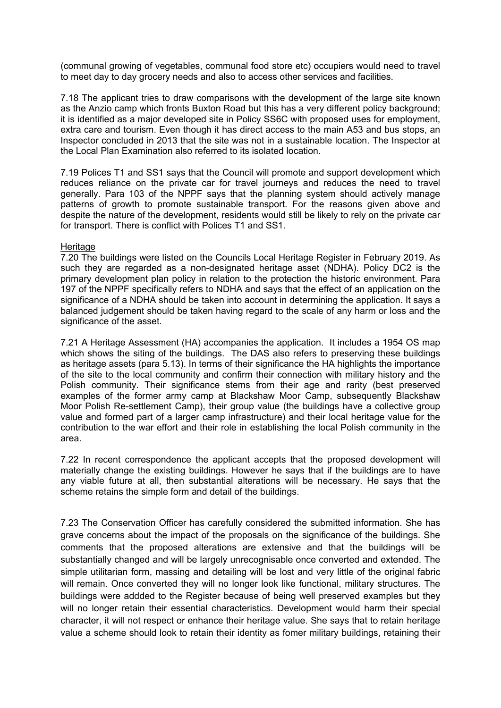(communal growing of vegetables, communal food store etc) occupiers would need to travel to meet day to day grocery needs and also to access other services and facilities.

7.18 The applicant tries to draw comparisons with the development of the large site known as the Anzio camp which fronts Buxton Road but this has a very different policy background; it is identified as a major developed site in Policy SS6C with proposed uses for employment, extra care and tourism. Even though it has direct access to the main A53 and bus stops, an Inspector concluded in 2013 that the site was not in a sustainable location. The Inspector at the Local Plan Examination also referred to its isolated location.

7.19 Polices T1 and SS1 says that the Council will promote and support development which reduces reliance on the private car for travel journeys and reduces the need to travel generally. Para 103 of the NPPF says that the planning system should actively manage patterns of growth to promote sustainable transport. For the reasons given above and despite the nature of the development, residents would still be likely to rely on the private car for transport. There is conflict with Polices T1 and SS1.

### **Heritage**

7.20 The buildings were listed on the Councils Local Heritage Register in February 2019. As such they are regarded as a non-designated heritage asset (NDHA). Policy DC2 is the primary development plan policy in relation to the protection the historic environment. Para 197 of the NPPF specifically refers to NDHA and says that the effect of an application on the significance of a NDHA should be taken into account in determining the application. It says a balanced judgement should be taken having regard to the scale of any harm or loss and the significance of the asset.

7.21 A Heritage Assessment (HA) accompanies the application. It includes a 1954 OS map which shows the siting of the buildings. The DAS also refers to preserving these buildings as heritage assets (para 5.13). In terms of their significance the HA highlights the importance of the site to the local community and confirm their connection with military history and the Polish community. Their significance stems from their age and rarity (best preserved examples of the former army camp at Blackshaw Moor Camp, subsequently Blackshaw Moor Polish Re-settlement Camp), their group value (the buildings have a collective group value and formed part of a larger camp infrastructure) and their local heritage value for the contribution to the war effort and their role in establishing the local Polish community in the area.

7.22 In recent correspondence the applicant accepts that the proposed development will materially change the existing buildings. However he says that if the buildings are to have any viable future at all, then substantial alterations will be necessary. He says that the scheme retains the simple form and detail of the buildings.

7.23 The Conservation Officer has carefully considered the submitted information. She has grave concerns about the impact of the proposals on the significance of the buildings. She comments that the proposed alterations are extensive and that the buildings will be substantially changed and will be largely unrecognisable once converted and extended. The simple utilitarian form, massing and detailing will be lost and very little of the original fabric will remain. Once converted they will no longer look like functional, military structures. The buildings were addded to the Register because of being well preserved examples but they will no longer retain their essential characteristics. Development would harm their special character, it will not respect or enhance their heritage value. She says that to retain heritage value a scheme should look to retain their identity as fomer military buildings, retaining their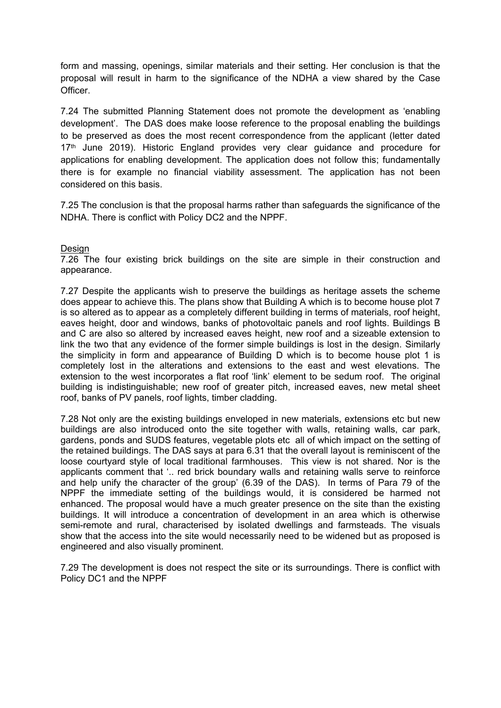form and massing, openings, similar materials and their setting. Her conclusion is that the proposal will result in harm to the significance of the NDHA a view shared by the Case Officer.

7.24 The submitted Planning Statement does not promote the development as 'enabling development'. The DAS does make loose reference to the proposal enabling the buildings to be preserved as does the most recent correspondence from the applicant (letter dated  $17<sup>th</sup>$  June 2019). Historic England provides very clear guidance and procedure for applications for enabling development. The application does not follow this; fundamentally there is for example no financial viability assessment. The application has not been considered on this basis.

7.25 The conclusion is that the proposal harms rather than safeguards the significance of the NDHA. There is conflict with Policy DC2 and the NPPF.

### Design

7.26 The four existing brick buildings on the site are simple in their construction and appearance.

7.27 Despite the applicants wish to preserve the buildings as heritage assets the scheme does appear to achieve this. The plans show that Building A which is to become house plot 7 is so altered as to appear as a completely different building in terms of materials, roof height, eaves height, door and windows, banks of photovoltaic panels and roof lights. Buildings B and C are also so altered by increased eaves height, new roof and a sizeable extension to link the two that any evidence of the former simple buildings is lost in the design. Similarly the simplicity in form and appearance of Building D which is to become house plot 1 is completely lost in the alterations and extensions to the east and west elevations. The extension to the west incorporates a flat roof 'link' element to be sedum roof. The original building is indistinguishable; new roof of greater pitch, increased eaves, new metal sheet roof, banks of PV panels, roof lights, timber cladding.

7.28 Not only are the existing buildings enveloped in new materials, extensions etc but new buildings are also introduced onto the site together with walls, retaining walls, car park, gardens, ponds and SUDS features, vegetable plots etc all of which impact on the setting of the retained buildings. The DAS says at para 6.31 that the overall layout is reminiscent of the loose courtyard style of local traditional farmhouses. This view is not shared. Nor is the applicants comment that '.. red brick boundary walls and retaining walls serve to reinforce and help unify the character of the group' (6.39 of the DAS). In terms of Para 79 of the NPPF the immediate setting of the buildings would, it is considered be harmed not enhanced. The proposal would have a much greater presence on the site than the existing buildings. It will introduce a concentration of development in an area which is otherwise semi-remote and rural, characterised by isolated dwellings and farmsteads. The visuals show that the access into the site would necessarily need to be widened but as proposed is engineered and also visually prominent.

7.29 The development is does not respect the site or its surroundings. There is conflict with Policy DC1 and the NPPF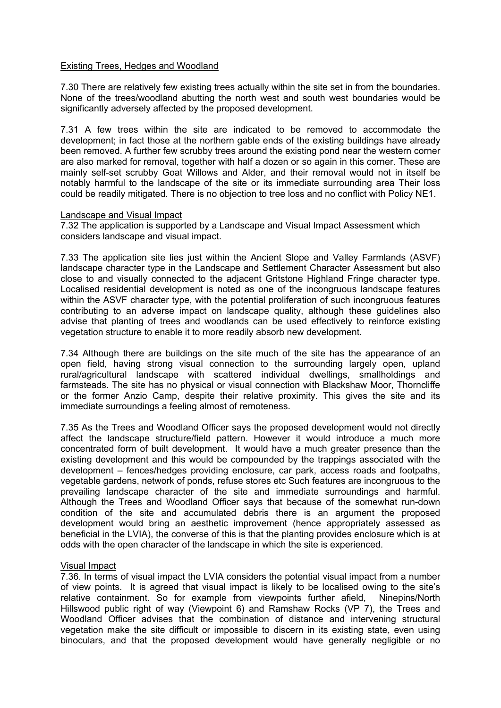### Existing Trees, Hedges and Woodland

7.30 There are relatively few existing trees actually within the site set in from the boundaries. None of the trees/woodland abutting the north west and south west boundaries would be significantly adversely affected by the proposed development.

7.31 A few trees within the site are indicated to be removed to accommodate the development; in fact those at the northern gable ends of the existing buildings have already been removed. A further few scrubby trees around the existing pond near the western corner are also marked for removal, together with half a dozen or so again in this corner. These are mainly self-set scrubby Goat Willows and Alder, and their removal would not in itself be notably harmful to the landscape of the site or its immediate surrounding area Their loss could be readily mitigated. There is no objection to tree loss and no conflict with Policy NE1.

### Landscape and Visual Impact

7.32 The application is supported by a Landscape and Visual Impact Assessment which considers landscape and visual impact.

7.33 The application site lies just within the Ancient Slope and Valley Farmlands (ASVF) landscape character type in the Landscape and Settlement Character Assessment but also close to and visually connected to the adjacent Gritstone Highland Fringe character type. Localised residential development is noted as one of the incongruous landscape features within the ASVF character type, with the potential proliferation of such incongruous features contributing to an adverse impact on landscape quality, although these guidelines also advise that planting of trees and woodlands can be used effectively to reinforce existing vegetation structure to enable it to more readily absorb new development.

7.34 Although there are buildings on the site much of the site has the appearance of an open field, having strong visual connection to the surrounding largely open, upland rural/agricultural landscape with scattered individual dwellings, smallholdings and farmsteads. The site has no physical or visual connection with Blackshaw Moor, Thorncliffe or the former Anzio Camp, despite their relative proximity. This gives the site and its immediate surroundings a feeling almost of remoteness.

7.35 As the Trees and Woodland Officer says the proposed development would not directly affect the landscape structure/field pattern. However it would introduce a much more concentrated form of built development. It would have a much greater presence than the existing development and this would be compounded by the trappings associated with the development – fences/hedges providing enclosure, car park, access roads and footpaths, vegetable gardens, network of ponds, refuse stores etc Such features are incongruous to the prevailing landscape character of the site and immediate surroundings and harmful. Although the Trees and Woodland Officer says that because of the somewhat run-down condition of the site and accumulated debris there is an argument the proposed development would bring an aesthetic improvement (hence appropriately assessed as beneficial in the LVIA), the converse of this is that the planting provides enclosure which is at odds with the open character of the landscape in which the site is experienced.

### Visual Impact

7.36. In terms of visual impact the LVIA considers the potential visual impact from a number of view points. It is agreed that visual impact is likely to be localised owing to the site's relative containment. So for example from viewpoints further afield, Ninepins/North Hillswood public right of way (Viewpoint 6) and Ramshaw Rocks (VP 7), the Trees and Woodland Officer advises that the combination of distance and intervening structural vegetation make the site difficult or impossible to discern in its existing state, even using binoculars, and that the proposed development would have generally negligible or no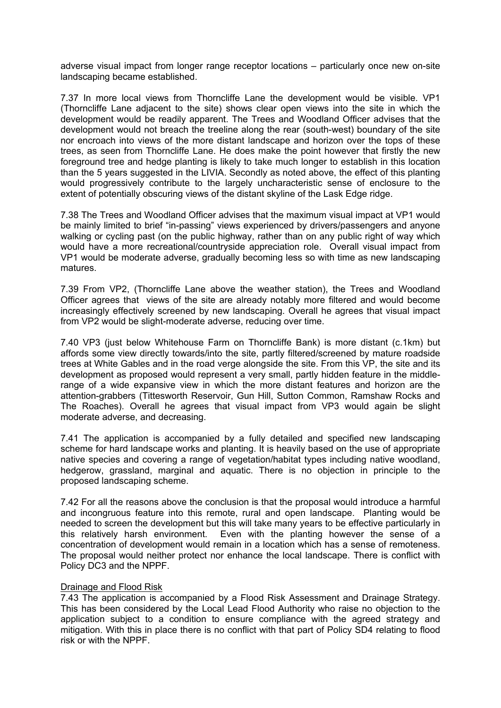adverse visual impact from longer range receptor locations – particularly once new on-site landscaping became established.

7.37 In more local views from Thorncliffe Lane the development would be visible. VP1 (Thorncliffe Lane adjacent to the site) shows clear open views into the site in which the development would be readily apparent. The Trees and Woodland Officer advises that the development would not breach the treeline along the rear (south-west) boundary of the site nor encroach into views of the more distant landscape and horizon over the tops of these trees, as seen from Thorncliffe Lane. He does make the point however that firstly the new foreground tree and hedge planting is likely to take much longer to establish in this location than the 5 years suggested in the LIVIA. Secondly as noted above, the effect of this planting would progressively contribute to the largely uncharacteristic sense of enclosure to the extent of potentially obscuring views of the distant skyline of the Lask Edge ridge.

7.38 The Trees and Woodland Officer advises that the maximum visual impact at VP1 would be mainly limited to brief "in-passing" views experienced by drivers/passengers and anyone walking or cycling past (on the public highway, rather than on any public right of way which would have a more recreational/countryside appreciation role. Overall visual impact from VP1 would be moderate adverse, gradually becoming less so with time as new landscaping matures.

7.39 From VP2, (Thorncliffe Lane above the weather station), the Trees and Woodland Officer agrees that views of the site are already notably more filtered and would become increasingly effectively screened by new landscaping. Overall he agrees that visual impact from VP2 would be slight-moderate adverse, reducing over time.

7.40 VP3 (just below Whitehouse Farm on Thorncliffe Bank) is more distant (c.1km) but affords some view directly towards/into the site, partly filtered/screened by mature roadside trees at White Gables and in the road verge alongside the site. From this VP, the site and its development as proposed would represent a very small, partly hidden feature in the middlerange of a wide expansive view in which the more distant features and horizon are the attention-grabbers (Tittesworth Reservoir, Gun Hill, Sutton Common, Ramshaw Rocks and The Roaches). Overall he agrees that visual impact from VP3 would again be slight moderate adverse, and decreasing.

7.41 The application is accompanied by a fully detailed and specified new landscaping scheme for hard landscape works and planting. It is heavily based on the use of appropriate native species and covering a range of vegetation/habitat types including native woodland, hedgerow, grassland, marginal and aquatic. There is no objection in principle to the proposed landscaping scheme.

7.42 For all the reasons above the conclusion is that the proposal would introduce a harmful and incongruous feature into this remote, rural and open landscape. Planting would be needed to screen the development but this will take many years to be effective particularly in this relatively harsh environment. Even with the planting however the sense of a concentration of development would remain in a location which has a sense of remoteness. The proposal would neither protect nor enhance the local landscape. There is conflict with Policy DC3 and the NPPF.

### Drainage and Flood Risk

7.43 The application is accompanied by a Flood Risk Assessment and Drainage Strategy. This has been considered by the Local Lead Flood Authority who raise no objection to the application subject to a condition to ensure compliance with the agreed strategy and mitigation. With this in place there is no conflict with that part of Policy SD4 relating to flood risk or with the NPPF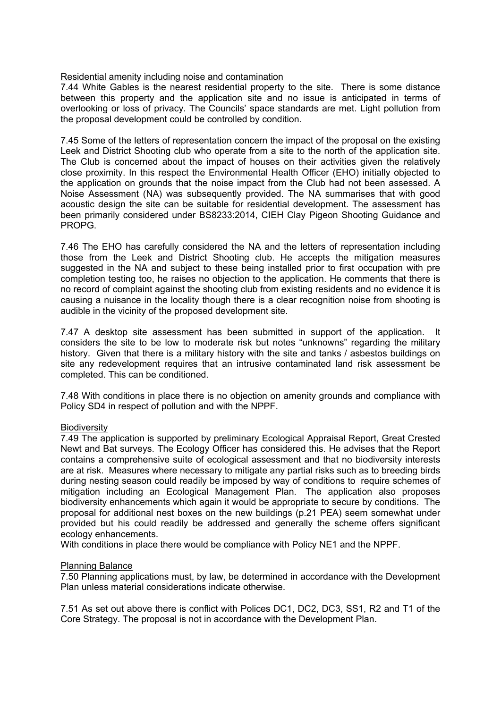## Residential amenity including noise and contamination

7.44 White Gables is the nearest residential property to the site. There is some distance between this property and the application site and no issue is anticipated in terms of overlooking or loss of privacy. The Councils' space standards are met. Light pollution from the proposal development could be controlled by condition.

7.45 Some of the letters of representation concern the impact of the proposal on the existing Leek and District Shooting club who operate from a site to the north of the application site. The Club is concerned about the impact of houses on their activities given the relatively close proximity. In this respect the Environmental Health Officer (EHO) initially objected to the application on grounds that the noise impact from the Club had not been assessed. A Noise Assessment (NA) was subsequently provided. The NA summarises that with good acoustic design the site can be suitable for residential development. The assessment has been primarily considered under BS8233:2014, CIEH Clay Pigeon Shooting Guidance and PROPG.

7.46 The EHO has carefully considered the NA and the letters of representation including those from the Leek and District Shooting club. He accepts the mitigation measures suggested in the NA and subject to these being installed prior to first occupation with pre completion testing too, he raises no objection to the application. He comments that there is no record of complaint against the shooting club from existing residents and no evidence it is causing a nuisance in the locality though there is a clear recognition noise from shooting is audible in the vicinity of the proposed development site.

7.47 A desktop site assessment has been submitted in support of the application. It considers the site to be low to moderate risk but notes "unknowns" regarding the military history. Given that there is a military history with the site and tanks / asbestos buildings on site any redevelopment requires that an intrusive contaminated land risk assessment be completed. This can be conditioned.

7.48 With conditions in place there is no objection on amenity grounds and compliance with Policy SD4 in respect of pollution and with the NPPF.

## Biodiversity

7.49 The application is supported by preliminary Ecological Appraisal Report, Great Crested Newt and Bat surveys. The Ecology Officer has considered this. He advises that the Report contains a comprehensive suite of ecological assessment and that no biodiversity interests are at risk. Measures where necessary to mitigate any partial risks such as to breeding birds during nesting season could readily be imposed by way of conditions to require schemes of mitigation including an Ecological Management Plan. The application also proposes biodiversity enhancements which again it would be appropriate to secure by conditions. The proposal for additional nest boxes on the new buildings (p.21 PEA) seem somewhat under provided but his could readily be addressed and generally the scheme offers significant ecology enhancements.

With conditions in place there would be compliance with Policy NE1 and the NPPF.

### Planning Balance

7.50 Planning applications must, by law, be determined in accordance with the Development Plan unless material considerations indicate otherwise.

7.51 As set out above there is conflict with Polices DC1, DC2, DC3, SS1, R2 and T1 of the Core Strategy. The proposal is not in accordance with the Development Plan.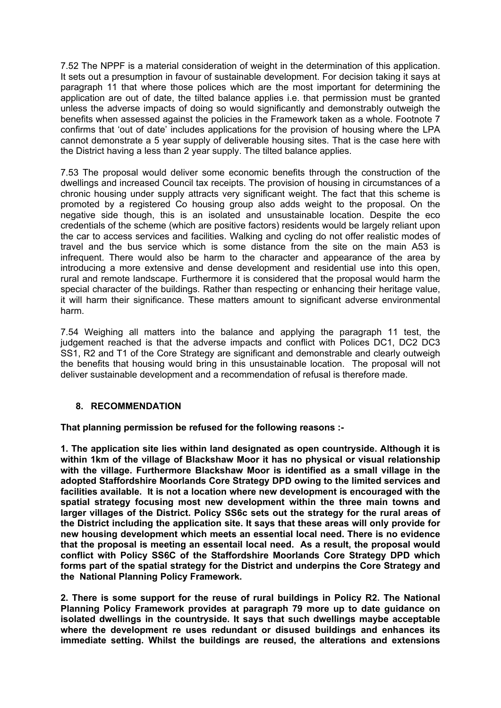7.52 The NPPF is a material consideration of weight in the determination of this application. It sets out a presumption in favour of sustainable development. For decision taking it says at paragraph 11 that where those polices which are the most important for determining the application are out of date, the tilted balance applies i.e. that permission must be granted unless the adverse impacts of doing so would significantly and demonstrably outweigh the benefits when assessed against the policies in the Framework taken as a whole. Footnote 7 confirms that 'out of date' includes applications for the provision of housing where the LPA cannot demonstrate a 5 year supply of deliverable housing sites. That is the case here with the District having a less than 2 year supply. The tilted balance applies.

7.53 The proposal would deliver some economic benefits through the construction of the dwellings and increased Council tax receipts. The provision of housing in circumstances of a chronic housing under supply attracts very significant weight. The fact that this scheme is promoted by a registered Co housing group also adds weight to the proposal. On the negative side though, this is an isolated and unsustainable location. Despite the eco credentials of the scheme (which are positive factors) residents would be largely reliant upon the car to access services and facilities. Walking and cycling do not offer realistic modes of travel and the bus service which is some distance from the site on the main A53 is infrequent. There would also be harm to the character and appearance of the area by introducing a more extensive and dense development and residential use into this open, rural and remote landscape. Furthermore it is considered that the proposal would harm the special character of the buildings. Rather than respecting or enhancing their heritage value, it will harm their significance. These matters amount to significant adverse environmental harm.

7.54 Weighing all matters into the balance and applying the paragraph 11 test, the judgement reached is that the adverse impacts and conflict with Polices DC1, DC2 DC3 SS1, R2 and T1 of the Core Strategy are significant and demonstrable and clearly outweigh the benefits that housing would bring in this unsustainable location. The proposal will not deliver sustainable development and a recommendation of refusal is therefore made.

## **8. RECOMMENDATION**

**That planning permission be refused for the following reasons :-**

**1. The application site lies within land designated as open countryside. Although it is within 1km of the village of Blackshaw Moor it has no physical or visual relationship with the village. Furthermore Blackshaw Moor is identified as a small village in the adopted Staffordshire Moorlands Core Strategy DPD owing to the limited services and facilities available. It is not a location where new development is encouraged with the spatial strategy focusing most new development within the three main towns and larger villages of the District. Policy SS6c sets out the strategy for the rural areas of the District including the application site. It says that these areas will only provide for new housing development which meets an essential local need. There is no evidence that the proposal is meeting an essentail local need. As a result, the proposal would conflict with Policy SS6C of the Staffordshire Moorlands Core Strategy DPD which forms part of the spatial strategy for the District and underpins the Core Strategy and the National Planning Policy Framework.** 

**2. There is some support for the reuse of rural buildings in Policy R2. The National Planning Policy Framework provides at paragraph 79 more up to date guidance on isolated dwellings in the countryside. It says that such dwellings maybe acceptable where the development re uses redundant or disused buildings and enhances its immediate setting. Whilst the buildings are reused, the alterations and extensions**